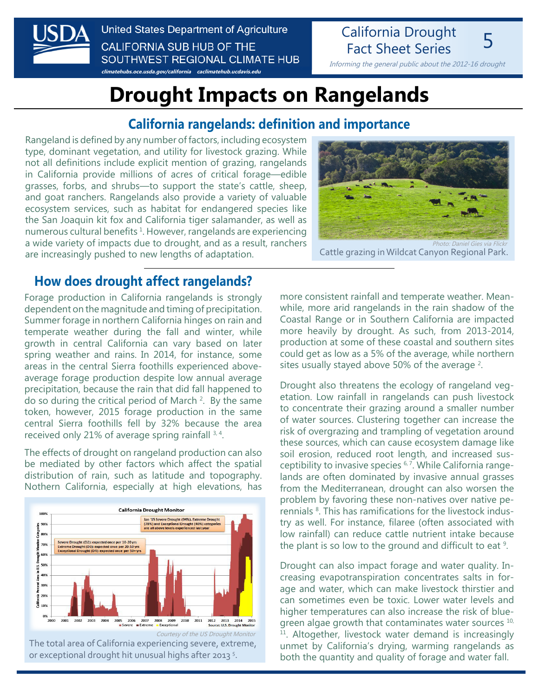

United States Department of Agriculture **CALIFORNIA SUB HUB OF THE** SOUTHWEST REGIONAL CLIMATE HUB

**[climatehubs.oce.usda.gov/california](http://climatehubs.oce.usda.gov/california) [caclimatehub.ucdavis.edu](http://caclimatehub.ucdavis.edu)**

Fact Sheet Series 5 Informing the general public about the 2012-16 drought

California Drought

# **Drought Impacts on Rangelands**

#### **California rangelands: definition and importance**

Rangeland is defined by any number of factors, including ecosystem type, dominant vegetation, and utility for livestock grazing. While not all definitions include explicit mention of grazing, rangelands in California provide millions of acres of critical forage—edible grasses, forbs, and shrubs—to support the state's cattle, sheep, and goat ranchers. Rangelands also provide a variety of valuable ecosystem services, such as habitat for endangered species like the San Joaquin kit fox and California tiger salamander, as well as numerous cultural benefits<sup>1</sup>. However, rangelands are experiencing a wide variety of impacts due to drought, and as a result, ranchers are increasingly pushed to new lengths of adaptation.



Cattle grazing in Wildcat Canyon Regional Park.

#### **How does drought affect rangelands?**

Forage production in California rangelands is strongly dependent on the magnitude and timing of precipitation. Summer forage in northern California hinges on rain and temperate weather during the fall and winter, while growth in central California can vary based on later spring weather and rains. In 2014, for instance, some areas in the central Sierra foothills experienced aboveaverage forage production despite low annual average precipitation, because the rain that did fall happened to do so during the critical period of March  $2$ . By the same token, however, 2015 forage production in the same central Sierra foothills fell by 32% because the area received only 21% of average spring rainfall 3, 4.

The effects of drought on rangeland production can also be mediated by other factors which affect the spatial distribution of rain, such as latitude and topography. Nothern California, especially at high elevations, has



more consistent rainfall and temperate weather. Meanwhile, more arid rangelands in the rain shadow of the Coastal Range or in Southern California are impacted more heavily by drought. As such, from 2013-2014, production at some of these coastal and southern sites could get as low as a 5% of the average, while northern sites usually stayed above 50% of the average  $2$ .

Drought also threatens the ecology of rangeland vegetation. Low rainfall in rangelands can push livestock to concentrate their grazing around a smaller number of water sources. Clustering together can increase the risk of overgrazing and trampling of vegetation around these sources, which can cause ecosystem damage like soil erosion, reduced root length, and increased susceptibility to invasive species <sup>6, 7</sup>. While California rangelands are often dominated by invasive annual grasses from the Mediterranean, drought can also worsen the problem by favoring these non-natives over native perennials<sup>8</sup>. This has ramifications for the livestock industry as well. For instance, filaree (often associated with low rainfall) can reduce cattle nutrient intake because the plant is so low to the ground and difficult to eat  $9$ .

Drought can also impact forage and water quality. Increasing evapotranspiration concentrates salts in forage and water, which can make livestock thirstier and can sometimes even be toxic. Lower water levels and higher temperatures can also increase the risk of bluegreen algae growth that contaminates water sources  $10$ , <sup>11</sup>. Altogether, livestock water demand is increasingly unmet by California's drying, warming rangelands as both the quantity and quality of forage and water fall.